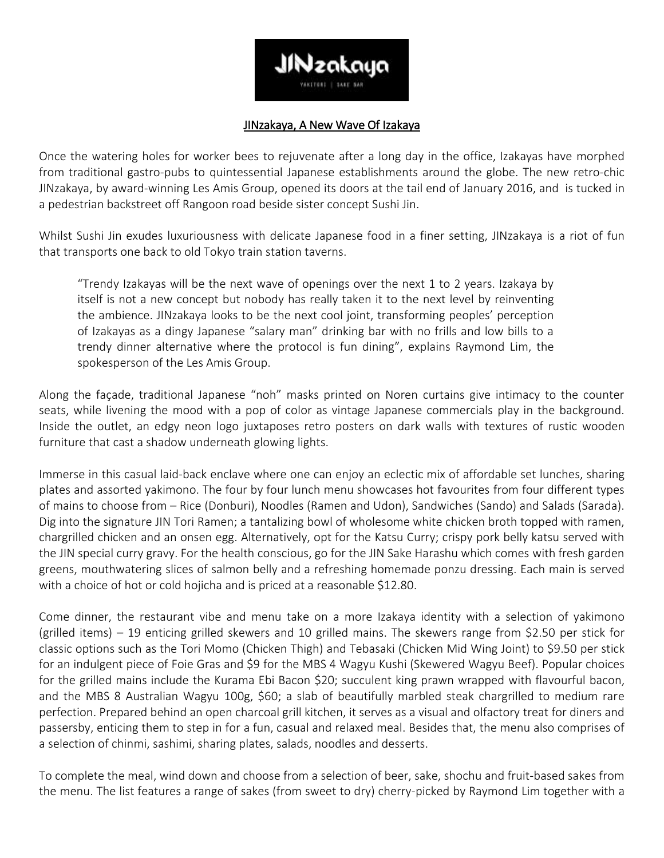

## JINzakaya, A New Wave Of Izakaya

Once the watering holes for worker bees to rejuvenate after a long day in the office, Izakayas have morphed from traditional gastro-pubs to quintessential Japanese establishments around the globe. The new retro-chic JINzakaya, by award-winning Les Amis Group, opened its doors at the tail end of January 2016, and is tucked in a pedestrian backstreet off Rangoon road beside sister concept Sushi Jin.

Whilst Sushi Jin exudes luxuriousness with delicate Japanese food in a finer setting, JINzakaya is a riot of fun that transports one back to old Tokyo train station taverns.

"Trendy Izakayas will be the next wave of openings over the next 1 to 2 years. Izakaya by itself is not a new concept but nobody has really taken it to the next level by reinventing the ambience. JINzakaya looks to be the next cool joint, transforming peoples' perception of Izakayas as a dingy Japanese "salary man" drinking bar with no frills and low bills to a trendy dinner alternative where the protocol is fun dining", explains Raymond Lim, the spokesperson of the Les Amis Group.

Along the façade, traditional Japanese "noh" masks printed on Noren curtains give intimacy to the counter seats, while livening the mood with a pop of color as vintage Japanese commercials play in the background. Inside the outlet, an edgy neon logo juxtaposes retro posters on dark walls with textures of rustic wooden furniture that cast a shadow underneath glowing lights.

Immerse in this casual laid-back enclave where one can enjoy an eclectic mix of affordable set lunches, sharing plates and assorted yakimono. The four by four lunch menu showcases hot favourites from four different types of mains to choose from – Rice (Donburi), Noodles (Ramen and Udon), Sandwiches (Sando) and Salads (Sarada). Dig into the signature JIN Tori Ramen; a tantalizing bowl of wholesome white chicken broth topped with ramen, chargrilled chicken and an onsen egg. Alternatively, opt for the Katsu Curry; crispy pork belly katsu served with the JIN special curry gravy. For the health conscious, go for the JIN Sake Harashu which comes with fresh garden greens, mouthwatering slices of salmon belly and a refreshing homemade ponzu dressing. Each main is served with a choice of hot or cold hojicha and is priced at a reasonable \$12.80.

Come dinner, the restaurant vibe and menu take on a more Izakaya identity with a selection of yakimono (grilled items) – 19 enticing grilled skewers and 10 grilled mains. The skewers range from \$2.50 per stick for classic options such as the Tori Momo (Chicken Thigh) and Tebasaki (Chicken Mid Wing Joint) to \$9.50 per stick for an indulgent piece of Foie Gras and \$9 for the MBS 4 Wagyu Kushi (Skewered Wagyu Beef). Popular choices for the grilled mains include the Kurama Ebi Bacon \$20; succulent king prawn wrapped with flavourful bacon, and the MBS 8 Australian Wagyu 100g, \$60; a slab of beautifully marbled steak chargrilled to medium rare perfection. Prepared behind an open charcoal grill kitchen, it serves as a visual and olfactory treat for diners and passersby, enticing them to step in for a fun, casual and relaxed meal. Besides that, the menu also comprises of a selection of chinmi, sashimi, sharing plates, salads, noodles and desserts.

To complete the meal, wind down and choose from a selection of beer, sake, shochu and fruit-based sakes from the menu. The list features a range of sakes (from sweet to dry) cherry-picked by Raymond Lim together with a